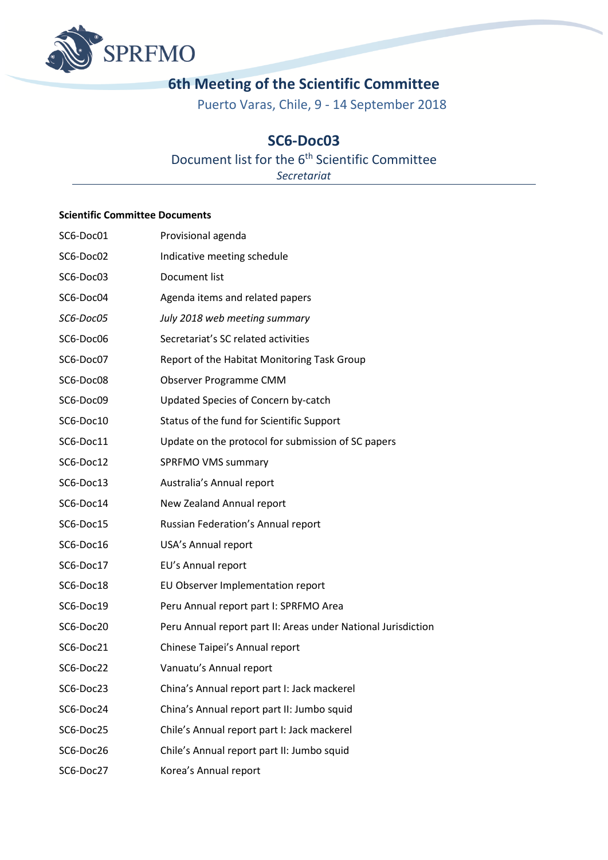

# **6th Meeting of the Scientific Committee**

Puerto Varas, Chile, 9 - 14 September 2018

### **SC6-Doc03**

## Document list for the 6<sup>th</sup> Scientific Committee

*Secretariat*

#### **Scientific Committee Documents**

| SC6-Doc01 | Provisional agenda                                            |
|-----------|---------------------------------------------------------------|
| SC6-Doc02 | Indicative meeting schedule                                   |
| SC6-Doc03 | Document list                                                 |
| SC6-Doc04 | Agenda items and related papers                               |
| SC6-Doc05 | July 2018 web meeting summary                                 |
| SC6-Doc06 | Secretariat's SC related activities                           |
| SC6-Doc07 | Report of the Habitat Monitoring Task Group                   |
| SC6-Doc08 | Observer Programme CMM                                        |
| SC6-Doc09 | Updated Species of Concern by-catch                           |
| SC6-Doc10 | Status of the fund for Scientific Support                     |
| SC6-Doc11 | Update on the protocol for submission of SC papers            |
| SC6-Doc12 | SPRFMO VMS summary                                            |
| SC6-Doc13 | Australia's Annual report                                     |
| SC6-Doc14 | New Zealand Annual report                                     |
| SC6-Doc15 | Russian Federation's Annual report                            |
| SC6-Doc16 | USA's Annual report                                           |
| SC6-Doc17 | EU's Annual report                                            |
| SC6-Doc18 | EU Observer Implementation report                             |
| SC6-Doc19 | Peru Annual report part I: SPRFMO Area                        |
| SC6-Doc20 | Peru Annual report part II: Areas under National Jurisdiction |
| SC6-Doc21 | Chinese Taipei's Annual report                                |
| SC6-Doc22 | Vanuatu's Annual report                                       |
| SC6-Doc23 | China's Annual report part I: Jack mackerel                   |
| SC6-Doc24 | China's Annual report part II: Jumbo squid                    |
| SC6-Doc25 | Chile's Annual report part I: Jack mackerel                   |
| SC6-Doc26 | Chile's Annual report part II: Jumbo squid                    |
| SC6-Doc27 | Korea's Annual report                                         |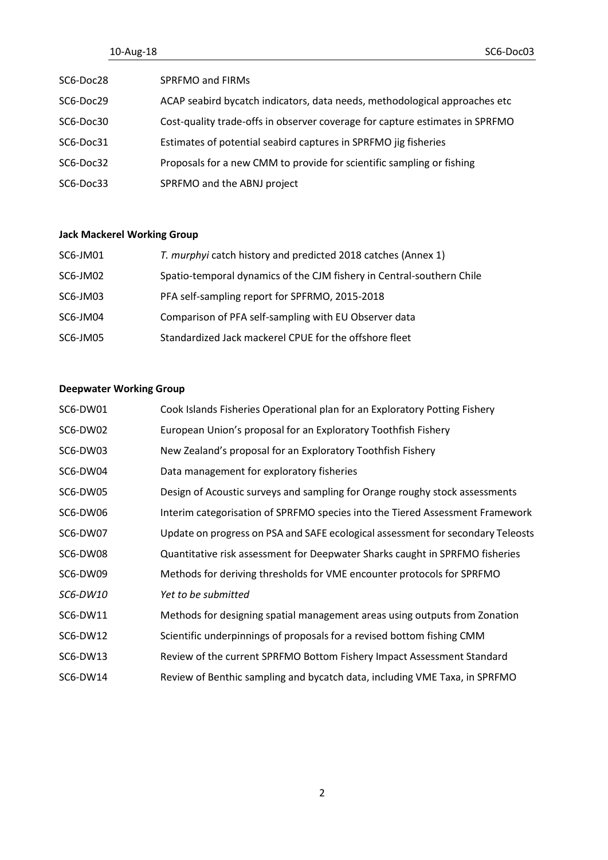|           | 10-Aug-18 |                                                                              | SC6-Doc03 |
|-----------|-----------|------------------------------------------------------------------------------|-----------|
| SC6-Doc28 |           | SPRFMO and FIRMs                                                             |           |
| SC6-Doc29 |           | ACAP seabird bycatch indicators, data needs, methodological approaches etc   |           |
| SC6-Doc30 |           | Cost-quality trade-offs in observer coverage for capture estimates in SPRFMO |           |
| SC6-Doc31 |           | Estimates of potential seabird captures in SPRFMO jig fisheries              |           |
| SC6-Doc32 |           | Proposals for a new CMM to provide for scientific sampling or fishing        |           |
| SC6-Doc33 |           | SPRFMO and the ABNJ project                                                  |           |

### **Jack Mackerel Working Group**

| SC6-JM01 | T. murphyi catch history and predicted 2018 catches (Annex 1)         |
|----------|-----------------------------------------------------------------------|
| SC6-JM02 | Spatio-temporal dynamics of the CJM fishery in Central-southern Chile |
| SC6-JM03 | PFA self-sampling report for SPFRMO, 2015-2018                        |
| SC6-JM04 | Comparison of PFA self-sampling with EU Observer data                 |
| SC6-JM05 | Standardized Jack mackerel CPUE for the offshore fleet                |

### **Deepwater Working Group**

| SC6-DW01 | Cook Islands Fisheries Operational plan for an Exploratory Potting Fishery      |
|----------|---------------------------------------------------------------------------------|
| SC6-DW02 | European Union's proposal for an Exploratory Toothfish Fishery                  |
| SC6-DW03 | New Zealand's proposal for an Exploratory Toothfish Fishery                     |
| SC6-DW04 | Data management for exploratory fisheries                                       |
| SC6-DW05 | Design of Acoustic surveys and sampling for Orange roughy stock assessments     |
| SC6-DW06 | Interim categorisation of SPRFMO species into the Tiered Assessment Framework   |
| SC6-DW07 | Update on progress on PSA and SAFE ecological assessment for secondary Teleosts |
| SC6-DW08 | Quantitative risk assessment for Deepwater Sharks caught in SPRFMO fisheries    |
| SC6-DW09 | Methods for deriving thresholds for VME encounter protocols for SPRFMO          |
| SC6-DW10 | Yet to be submitted                                                             |
| SC6-DW11 | Methods for designing spatial management areas using outputs from Zonation      |
| SC6-DW12 | Scientific underpinnings of proposals for a revised bottom fishing CMM          |
| SC6-DW13 | Review of the current SPRFMO Bottom Fishery Impact Assessment Standard          |
| SC6-DW14 | Review of Benthic sampling and bycatch data, including VME Taxa, in SPRFMO      |